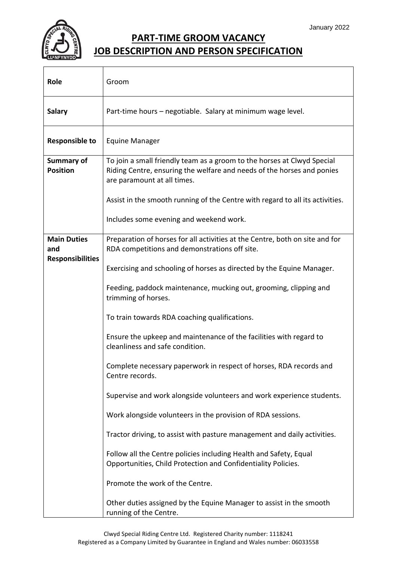

## **PART-TIME GROOM VACANCY JOB DESCRIPTION AND PERSON SPECIFICATION**

| <b>Role</b>                   | Groom                                                                                                                                                                                                                                                             |
|-------------------------------|-------------------------------------------------------------------------------------------------------------------------------------------------------------------------------------------------------------------------------------------------------------------|
| <b>Salary</b>                 | Part-time hours - negotiable. Salary at minimum wage level.                                                                                                                                                                                                       |
| <b>Responsible to</b>         | <b>Equine Manager</b>                                                                                                                                                                                                                                             |
| Summary of<br><b>Position</b> | To join a small friendly team as a groom to the horses at Clwyd Special<br>Riding Centre, ensuring the welfare and needs of the horses and ponies<br>are paramount at all times.<br>Assist in the smooth running of the Centre with regard to all its activities. |
|                               | Includes some evening and weekend work.                                                                                                                                                                                                                           |
| <b>Main Duties</b><br>and     | Preparation of horses for all activities at the Centre, both on site and for<br>RDA competitions and demonstrations off site.                                                                                                                                     |
| <b>Responsibilities</b>       | Exercising and schooling of horses as directed by the Equine Manager.                                                                                                                                                                                             |
|                               | Feeding, paddock maintenance, mucking out, grooming, clipping and<br>trimming of horses.                                                                                                                                                                          |
|                               | To train towards RDA coaching qualifications.                                                                                                                                                                                                                     |
|                               | Ensure the upkeep and maintenance of the facilities with regard to<br>cleanliness and safe condition.                                                                                                                                                             |
|                               | Complete necessary paperwork in respect of horses, RDA records and<br>Centre records.                                                                                                                                                                             |
|                               | Supervise and work alongside volunteers and work experience students.                                                                                                                                                                                             |
|                               | Work alongside volunteers in the provision of RDA sessions.                                                                                                                                                                                                       |
|                               | Tractor driving, to assist with pasture management and daily activities.                                                                                                                                                                                          |
|                               | Follow all the Centre policies including Health and Safety, Equal<br>Opportunities, Child Protection and Confidentiality Policies.                                                                                                                                |
|                               | Promote the work of the Centre.                                                                                                                                                                                                                                   |
|                               | Other duties assigned by the Equine Manager to assist in the smooth<br>running of the Centre.                                                                                                                                                                     |